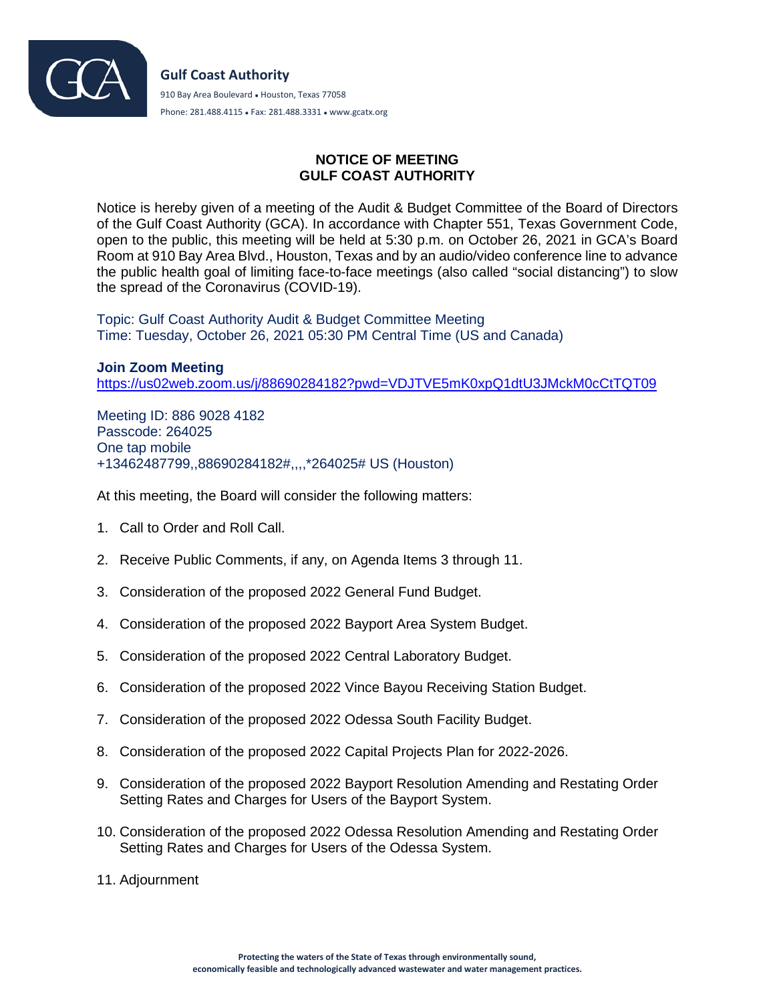

## **NOTICE OF MEETING GULF COAST AUTHORITY**

Notice is hereby given of a meeting of the Audit & Budget Committee of the Board of Directors of the Gulf Coast Authority (GCA). In accordance with Chapter 551, Texas Government Code, open to the public, this meeting will be held at 5:30 p.m. on October 26, 2021 in GCA's Board Room at 910 Bay Area Blvd., Houston, Texas and by an audio/video conference line to advance the public health goal of limiting face-to-face meetings (also called "social distancing") to slow the spread of the Coronavirus (COVID-19).

Topic: Gulf Coast Authority Audit & Budget Committee Meeting Time: Tuesday, October 26, 2021 05:30 PM Central Time (US and Canada)

**Join Zoom Meeting** <https://us02web.zoom.us/j/88690284182?pwd=VDJTVE5mK0xpQ1dtU3JMckM0cCtTQT09>

Meeting ID: 886 9028 4182 Passcode: 264025 One tap mobile +13462487799,,88690284182#,,,,\*264025# US (Houston)

At this meeting, the Board will consider the following matters:

- 1. Call to Order and Roll Call.
- 2. Receive Public Comments, if any, on Agenda Items 3 through 11.
- 3. Consideration of the proposed 2022 General Fund Budget.
- 4. Consideration of the proposed 2022 Bayport Area System Budget.
- 5. Consideration of the proposed 2022 Central Laboratory Budget.
- 6. Consideration of the proposed 2022 Vince Bayou Receiving Station Budget.
- 7. Consideration of the proposed 2022 Odessa South Facility Budget.
- 8. Consideration of the proposed 2022 Capital Projects Plan for 2022-2026.
- 9. Consideration of the proposed 2022 Bayport Resolution Amending and Restating Order Setting Rates and Charges for Users of the Bayport System.
- 10. Consideration of the proposed 2022 Odessa Resolution Amending and Restating Order Setting Rates and Charges for Users of the Odessa System.
- 11. Adjournment